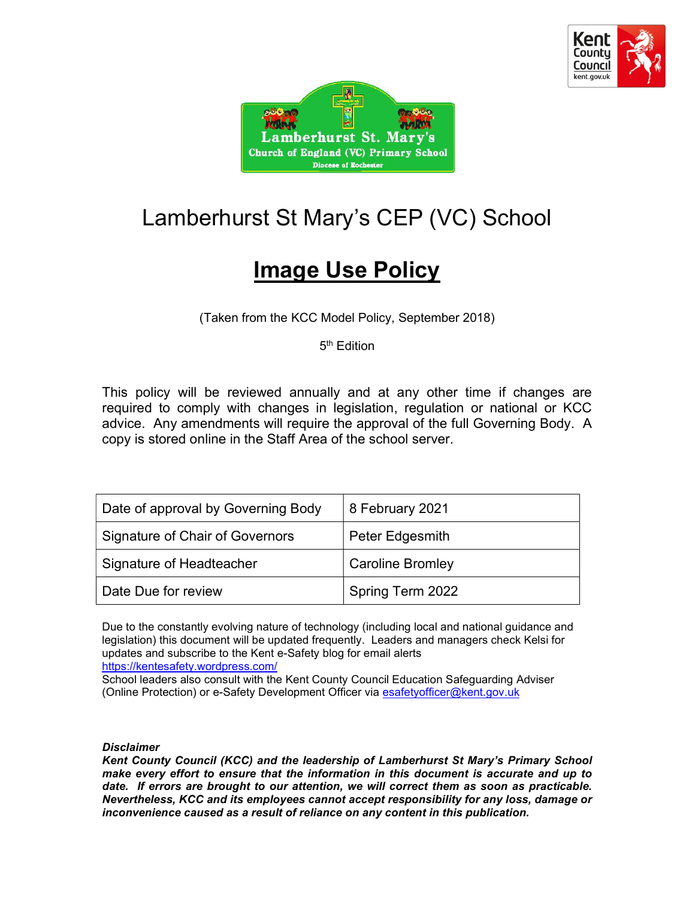



# Lamberhurst St Mary's CEP (VC) School

## **Image Use Policy**

(Taken from the KCC Model Policy, September 2018)

5<sup>th</sup> Edition

This policy will be reviewed annually and at any other time if changes are required to comply with changes in legislation, regulation or national or KCC advice. Any amendments will require the approval of the full Governing Body. A copy is stored online in the Staff Area of the school server.

| Date of approval by Governing Body     | 8 February 2021         |
|----------------------------------------|-------------------------|
| <b>Signature of Chair of Governors</b> | Peter Edgesmith         |
| Signature of Headteacher               | <b>Caroline Bromley</b> |
| Date Due for review                    | Spring Term 2022        |

Due to the constantly evolving nature of technology (including local and national guidance and legislation) this document will be updated frequently. Leaders and managers check Kelsi for updates and subscribe to the Kent e-Safety blog for email alerts https://kentesafety.wordpress.com/

School leaders also consult with the Kent County Council Education Safeguarding Adviser (Online Protection) or e-Safety Development Officer via esafetyofficer@kent.gov.uk

#### Disclaimer

Kent County Council (KCC) and the leadership of Lamberhurst St Mary's Primary School make every effort to ensure that the information in this document is accurate and up to date. If errors are brought to our attention, we will correct them as soon as practicable. Nevertheless, KCC and its employees cannot accept responsibility for any loss, damage or inconvenience caused as a result of reliance on any content in this publication.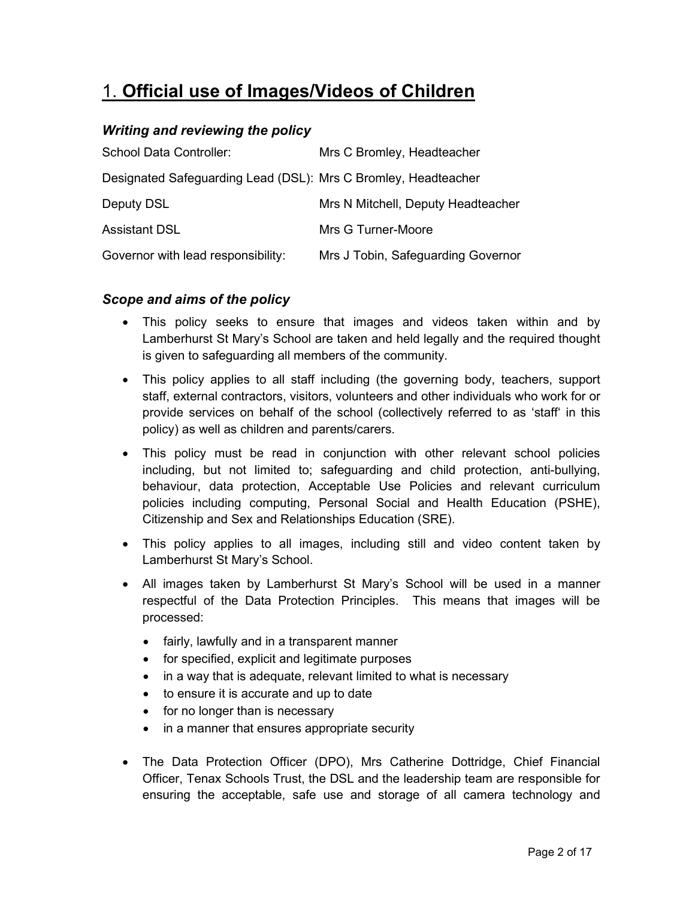## 1. Official use of Images/Videos of Children

#### Writing and reviewing the policy

| School Data Controller:                                        | Mrs C Bromley, Headteacher         |
|----------------------------------------------------------------|------------------------------------|
| Designated Safeguarding Lead (DSL): Mrs C Bromley, Headteacher |                                    |
| Deputy DSL                                                     | Mrs N Mitchell, Deputy Headteacher |
| <b>Assistant DSL</b>                                           | Mrs G Turner-Moore                 |
| Governor with lead responsibility:                             | Mrs J Tobin, Safeguarding Governor |

#### Scope and aims of the policy

- This policy seeks to ensure that images and videos taken within and by Lamberhurst St Mary's School are taken and held legally and the required thought is given to safeguarding all members of the community.
- This policy applies to all staff including (the governing body, teachers, support staff, external contractors, visitors, volunteers and other individuals who work for or provide services on behalf of the school (collectively referred to as 'staff' in this policy) as well as children and parents/carers.
- This policy must be read in conjunction with other relevant school policies including, but not limited to; safeguarding and child protection, anti-bullying, behaviour, data protection, Acceptable Use Policies and relevant curriculum policies including computing, Personal Social and Health Education (PSHE), Citizenship and Sex and Relationships Education (SRE).
- This policy applies to all images, including still and video content taken by Lamberhurst St Mary's School.
- All images taken by Lamberhurst St Mary's School will be used in a manner respectful of the Data Protection Principles. This means that images will be processed:
	- fairly, lawfully and in a transparent manner
	- for specified, explicit and legitimate purposes
	- in a way that is adequate, relevant limited to what is necessary
	- to ensure it is accurate and up to date
	- for no longer than is necessary
	- in a manner that ensures appropriate security
- The Data Protection Officer (DPO), Mrs Catherine Dottridge, Chief Financial Officer, Tenax Schools Trust, the DSL and the leadership team are responsible for ensuring the acceptable, safe use and storage of all camera technology and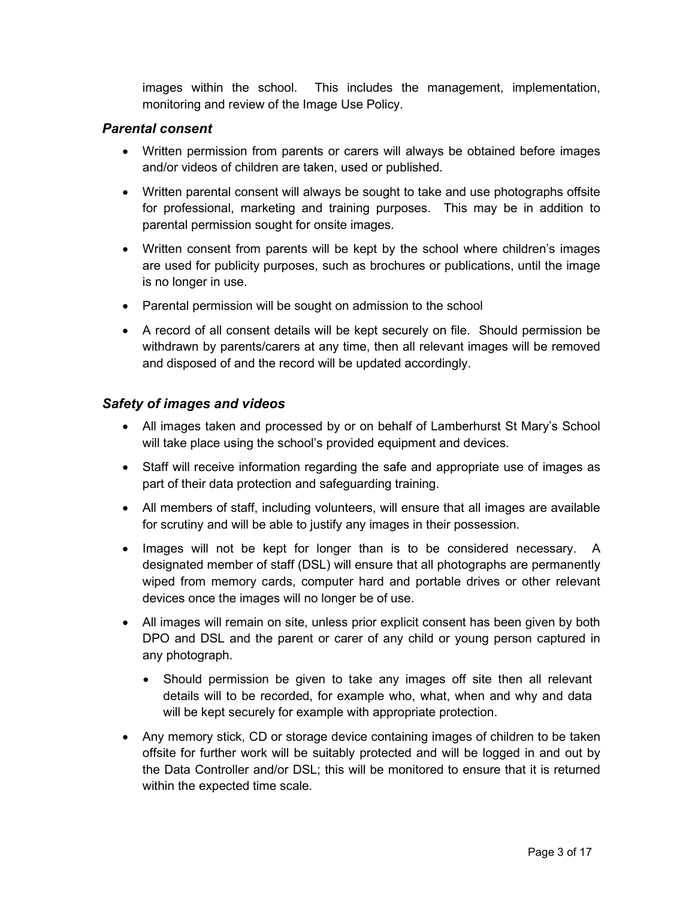images within the school. This includes the management, implementation, monitoring and review of the Image Use Policy.

#### Parental consent

- Written permission from parents or carers will always be obtained before images and/or videos of children are taken, used or published.
- Written parental consent will always be sought to take and use photographs offsite for professional, marketing and training purposes. This may be in addition to parental permission sought for onsite images.
- Written consent from parents will be kept by the school where children's images are used for publicity purposes, such as brochures or publications, until the image is no longer in use.
- Parental permission will be sought on admission to the school
- A record of all consent details will be kept securely on file. Should permission be withdrawn by parents/carers at any time, then all relevant images will be removed and disposed of and the record will be updated accordingly.

#### Safety of images and videos

- All images taken and processed by or on behalf of Lamberhurst St Mary's School will take place using the school's provided equipment and devices.
- Staff will receive information regarding the safe and appropriate use of images as part of their data protection and safeguarding training.
- All members of staff, including volunteers, will ensure that all images are available for scrutiny and will be able to justify any images in their possession.
- Images will not be kept for longer than is to be considered necessary. A designated member of staff (DSL) will ensure that all photographs are permanently wiped from memory cards, computer hard and portable drives or other relevant devices once the images will no longer be of use.
- All images will remain on site, unless prior explicit consent has been given by both DPO and DSL and the parent or carer of any child or young person captured in any photograph.
	- Should permission be given to take any images off site then all relevant details will to be recorded, for example who, what, when and why and data will be kept securely for example with appropriate protection.
- Any memory stick, CD or storage device containing images of children to be taken offsite for further work will be suitably protected and will be logged in and out by the Data Controller and/or DSL; this will be monitored to ensure that it is returned within the expected time scale.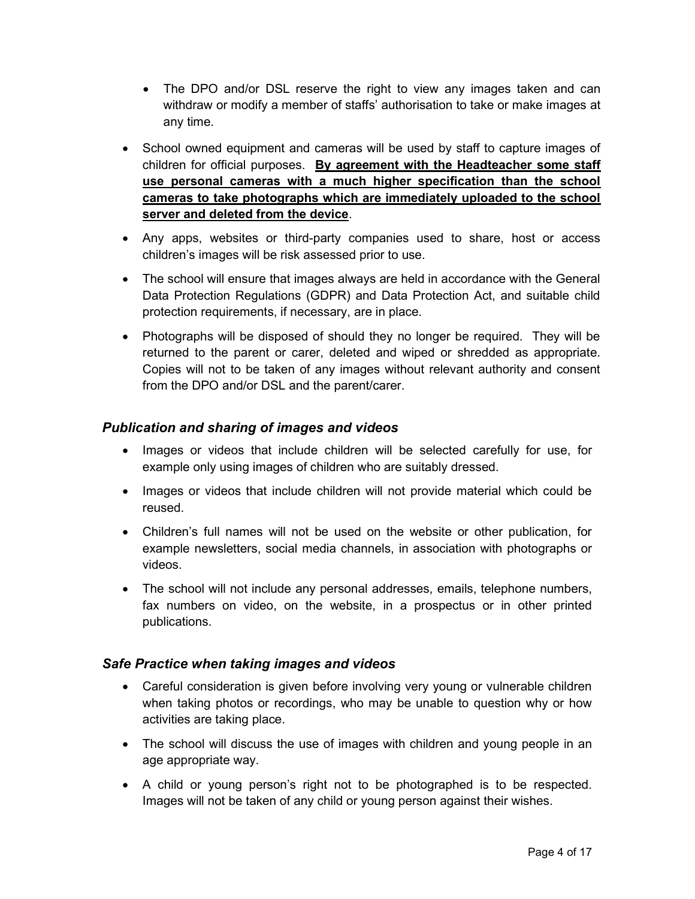- The DPO and/or DSL reserve the right to view any images taken and can withdraw or modify a member of staffs' authorisation to take or make images at any time.
- School owned equipment and cameras will be used by staff to capture images of children for official purposes. By agreement with the Headteacher some staff use personal cameras with a much higher specification than the school cameras to take photographs which are immediately uploaded to the school server and deleted from the device.
- Any apps, websites or third-party companies used to share, host or access children's images will be risk assessed prior to use.
- The school will ensure that images always are held in accordance with the General Data Protection Regulations (GDPR) and Data Protection Act, and suitable child protection requirements, if necessary, are in place.
- Photographs will be disposed of should they no longer be required. They will be returned to the parent or carer, deleted and wiped or shredded as appropriate. Copies will not to be taken of any images without relevant authority and consent from the DPO and/or DSL and the parent/carer.

#### Publication and sharing of images and videos

- Images or videos that include children will be selected carefully for use, for example only using images of children who are suitably dressed.
- Images or videos that include children will not provide material which could be reused.
- Children's full names will not be used on the website or other publication, for example newsletters, social media channels, in association with photographs or videos.
- The school will not include any personal addresses, emails, telephone numbers, fax numbers on video, on the website, in a prospectus or in other printed publications.

#### Safe Practice when taking images and videos

- Careful consideration is given before involving very young or vulnerable children when taking photos or recordings, who may be unable to question why or how activities are taking place.
- The school will discuss the use of images with children and young people in an age appropriate way.
- A child or young person's right not to be photographed is to be respected. Images will not be taken of any child or young person against their wishes.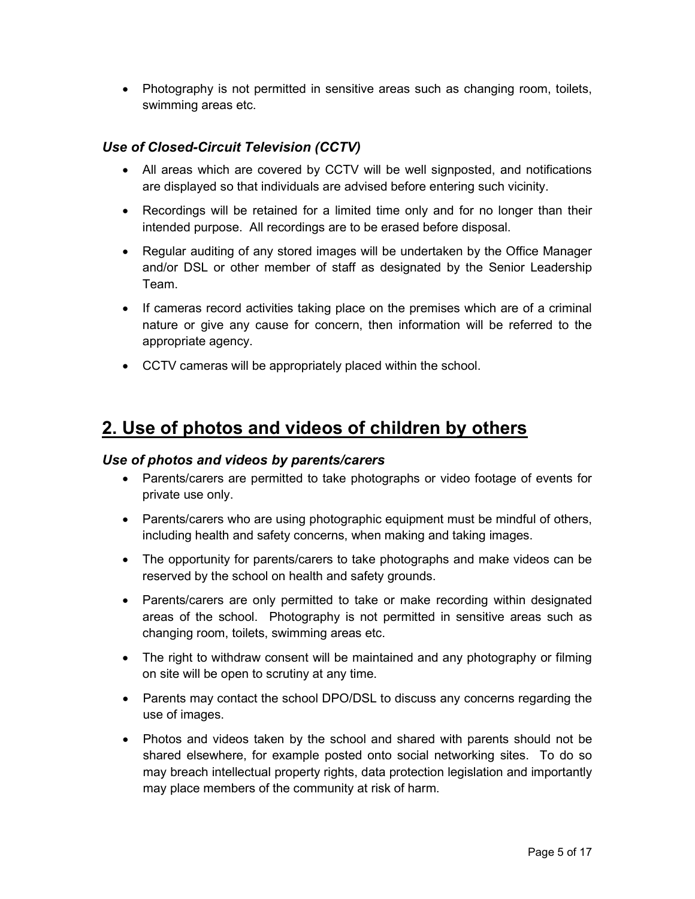• Photography is not permitted in sensitive areas such as changing room, toilets, swimming areas etc.

#### Use of Closed-Circuit Television (CCTV)

- All areas which are covered by CCTV will be well signposted, and notifications are displayed so that individuals are advised before entering such vicinity.
- Recordings will be retained for a limited time only and for no longer than their intended purpose. All recordings are to be erased before disposal.
- Regular auditing of any stored images will be undertaken by the Office Manager and/or DSL or other member of staff as designated by the Senior Leadership Team.
- If cameras record activities taking place on the premises which are of a criminal nature or give any cause for concern, then information will be referred to the appropriate agency.
- CCTV cameras will be appropriately placed within the school.

## 2. Use of photos and videos of children by others

#### Use of photos and videos by parents/carers

- Parents/carers are permitted to take photographs or video footage of events for private use only.
- Parents/carers who are using photographic equipment must be mindful of others, including health and safety concerns, when making and taking images.
- The opportunity for parents/carers to take photographs and make videos can be reserved by the school on health and safety grounds.
- Parents/carers are only permitted to take or make recording within designated areas of the school. Photography is not permitted in sensitive areas such as changing room, toilets, swimming areas etc.
- The right to withdraw consent will be maintained and any photography or filming on site will be open to scrutiny at any time.
- Parents may contact the school DPO/DSL to discuss any concerns regarding the use of images.
- Photos and videos taken by the school and shared with parents should not be shared elsewhere, for example posted onto social networking sites. To do so may breach intellectual property rights, data protection legislation and importantly may place members of the community at risk of harm.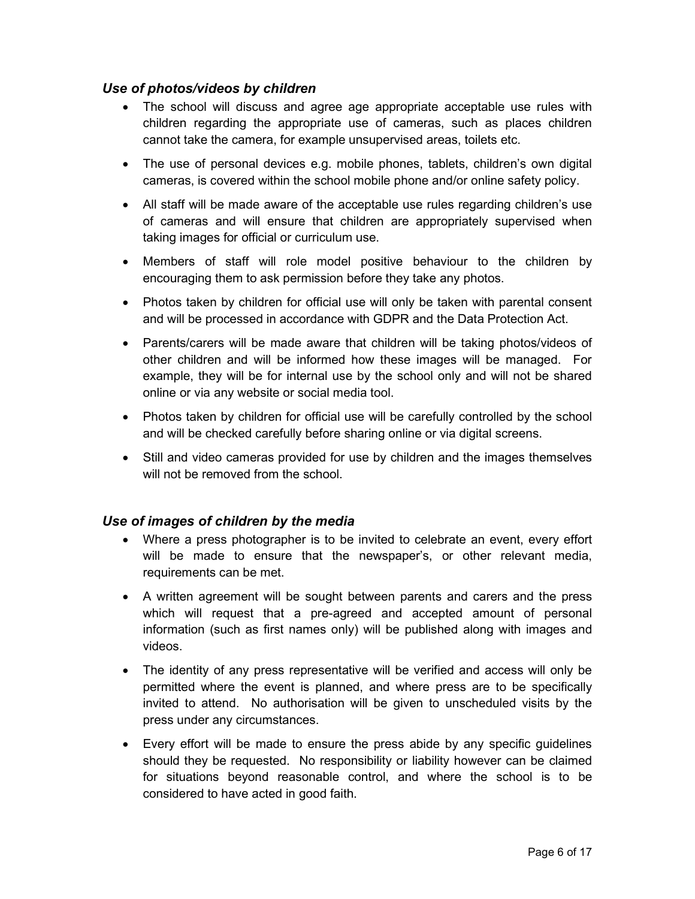#### Use of photos/videos by children

- The school will discuss and agree age appropriate acceptable use rules with children regarding the appropriate use of cameras, such as places children cannot take the camera, for example unsupervised areas, toilets etc.
- The use of personal devices e.g. mobile phones, tablets, children's own digital cameras, is covered within the school mobile phone and/or online safety policy.
- All staff will be made aware of the acceptable use rules regarding children's use of cameras and will ensure that children are appropriately supervised when taking images for official or curriculum use.
- Members of staff will role model positive behaviour to the children by encouraging them to ask permission before they take any photos.
- Photos taken by children for official use will only be taken with parental consent and will be processed in accordance with GDPR and the Data Protection Act.
- Parents/carers will be made aware that children will be taking photos/videos of other children and will be informed how these images will be managed. For example, they will be for internal use by the school only and will not be shared online or via any website or social media tool.
- Photos taken by children for official use will be carefully controlled by the school and will be checked carefully before sharing online or via digital screens.
- Still and video cameras provided for use by children and the images themselves will not be removed from the school.

#### Use of images of children by the media

- Where a press photographer is to be invited to celebrate an event, every effort will be made to ensure that the newspaper's, or other relevant media, requirements can be met.
- A written agreement will be sought between parents and carers and the press which will request that a pre-agreed and accepted amount of personal information (such as first names only) will be published along with images and videos.
- The identity of any press representative will be verified and access will only be permitted where the event is planned, and where press are to be specifically invited to attend. No authorisation will be given to unscheduled visits by the press under any circumstances.
- Every effort will be made to ensure the press abide by any specific guidelines should they be requested. No responsibility or liability however can be claimed for situations beyond reasonable control, and where the school is to be considered to have acted in good faith.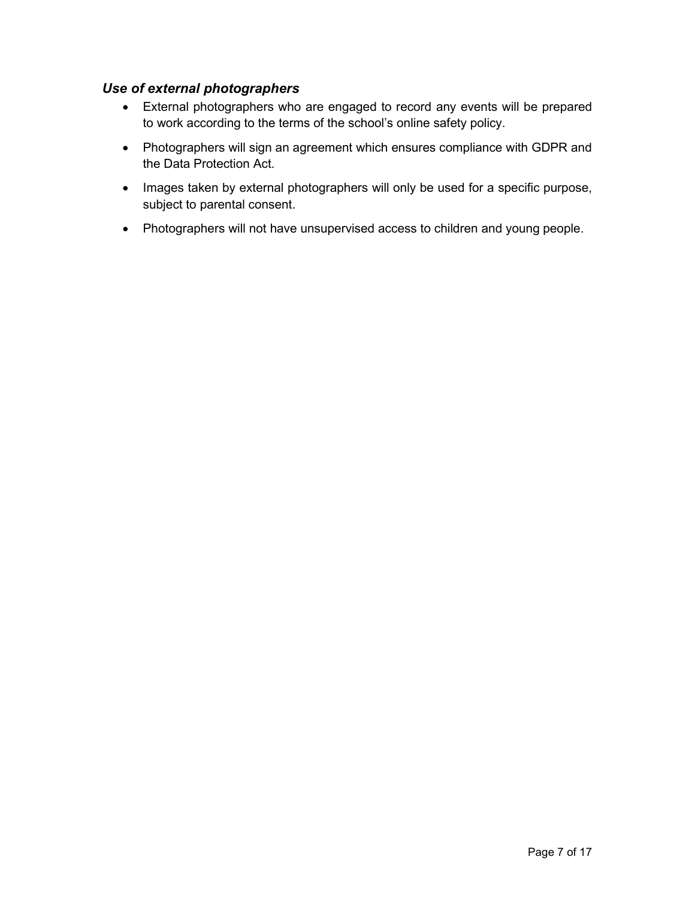#### Use of external photographers

- External photographers who are engaged to record any events will be prepared to work according to the terms of the school's online safety policy.
- Photographers will sign an agreement which ensures compliance with GDPR and the Data Protection Act.
- Images taken by external photographers will only be used for a specific purpose, subject to parental consent.
- Photographers will not have unsupervised access to children and young people.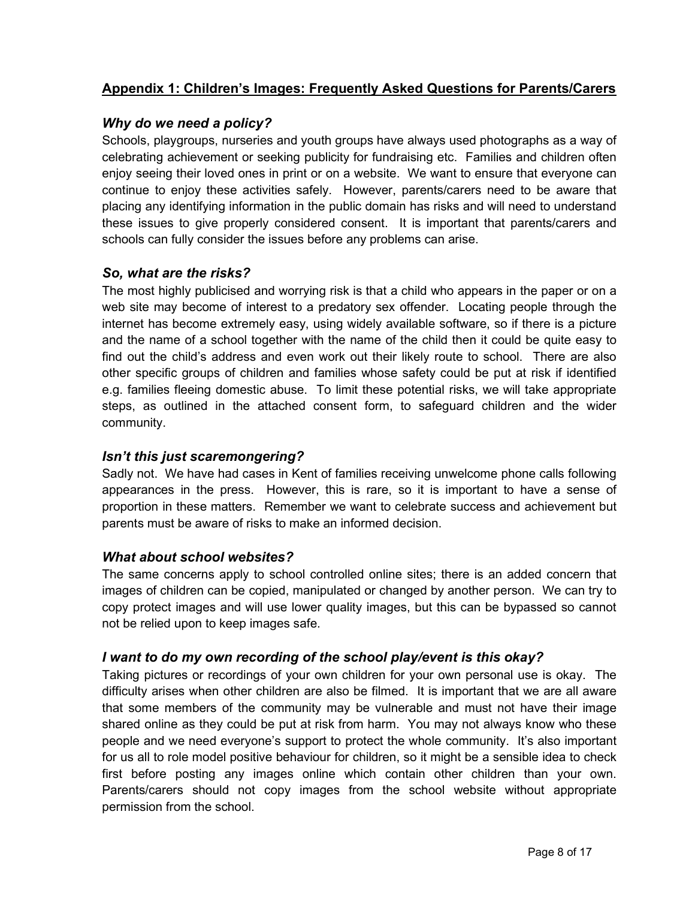#### Appendix 1: Children's Images: Frequently Asked Questions for Parents/Carers

#### Why do we need a policy?

Schools, playgroups, nurseries and youth groups have always used photographs as a way of celebrating achievement or seeking publicity for fundraising etc. Families and children often enjoy seeing their loved ones in print or on a website. We want to ensure that everyone can continue to enjoy these activities safely. However, parents/carers need to be aware that placing any identifying information in the public domain has risks and will need to understand these issues to give properly considered consent. It is important that parents/carers and schools can fully consider the issues before any problems can arise.

#### So, what are the risks?

The most highly publicised and worrying risk is that a child who appears in the paper or on a web site may become of interest to a predatory sex offender. Locating people through the internet has become extremely easy, using widely available software, so if there is a picture and the name of a school together with the name of the child then it could be quite easy to find out the child's address and even work out their likely route to school. There are also other specific groups of children and families whose safety could be put at risk if identified e.g. families fleeing domestic abuse. To limit these potential risks, we will take appropriate steps, as outlined in the attached consent form, to safeguard children and the wider community.

#### Isn't this just scaremongering?

Sadly not. We have had cases in Kent of families receiving unwelcome phone calls following appearances in the press. However, this is rare, so it is important to have a sense of proportion in these matters. Remember we want to celebrate success and achievement but parents must be aware of risks to make an informed decision.

#### What about school websites?

The same concerns apply to school controlled online sites; there is an added concern that images of children can be copied, manipulated or changed by another person. We can try to copy protect images and will use lower quality images, but this can be bypassed so cannot not be relied upon to keep images safe.

#### I want to do my own recording of the school play/event is this okay?

Taking pictures or recordings of your own children for your own personal use is okay. The difficulty arises when other children are also be filmed. It is important that we are all aware that some members of the community may be vulnerable and must not have their image shared online as they could be put at risk from harm. You may not always know who these people and we need everyone's support to protect the whole community. It's also important for us all to role model positive behaviour for children, so it might be a sensible idea to check first before posting any images online which contain other children than your own. Parents/carers should not copy images from the school website without appropriate permission from the school.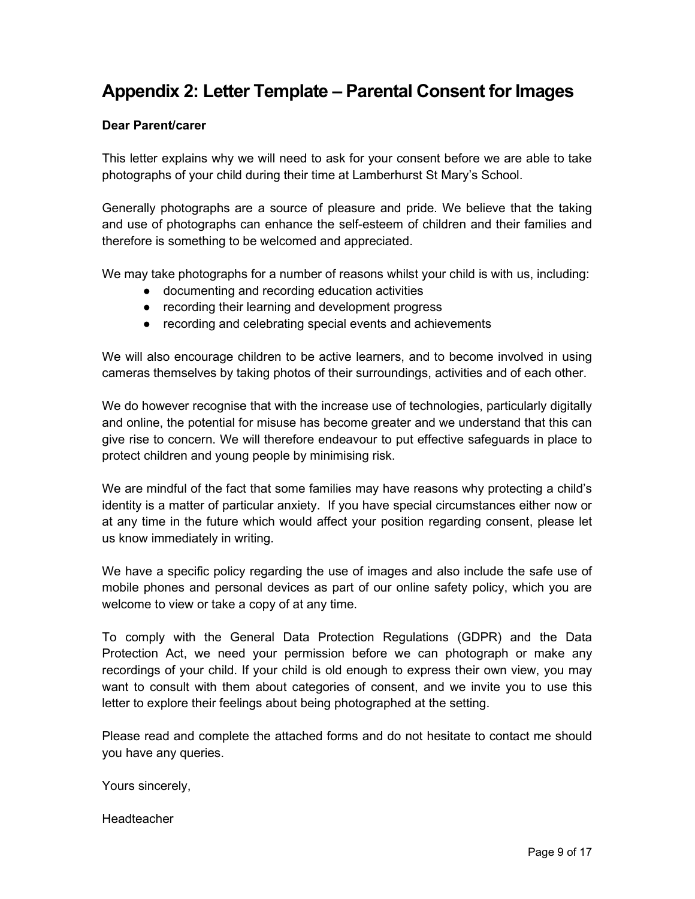## Appendix 2: Letter Template – Parental Consent for Images

#### Dear Parent/carer

This letter explains why we will need to ask for your consent before we are able to take photographs of your child during their time at Lamberhurst St Mary's School.

Generally photographs are a source of pleasure and pride. We believe that the taking and use of photographs can enhance the self-esteem of children and their families and therefore is something to be welcomed and appreciated.

We may take photographs for a number of reasons whilst your child is with us, including:

- documenting and recording education activities
- recording their learning and development progress
- recording and celebrating special events and achievements

We will also encourage children to be active learners, and to become involved in using cameras themselves by taking photos of their surroundings, activities and of each other.

We do however recognise that with the increase use of technologies, particularly digitally and online, the potential for misuse has become greater and we understand that this can give rise to concern. We will therefore endeavour to put effective safeguards in place to protect children and young people by minimising risk.

We are mindful of the fact that some families may have reasons why protecting a child's identity is a matter of particular anxiety. If you have special circumstances either now or at any time in the future which would affect your position regarding consent, please let us know immediately in writing.

We have a specific policy regarding the use of images and also include the safe use of mobile phones and personal devices as part of our online safety policy, which you are welcome to view or take a copy of at any time.

To comply with the General Data Protection Regulations (GDPR) and the Data Protection Act, we need your permission before we can photograph or make any recordings of your child. If your child is old enough to express their own view, you may want to consult with them about categories of consent, and we invite you to use this letter to explore their feelings about being photographed at the setting.

Please read and complete the attached forms and do not hesitate to contact me should you have any queries.

Yours sincerely,

**Headteacher**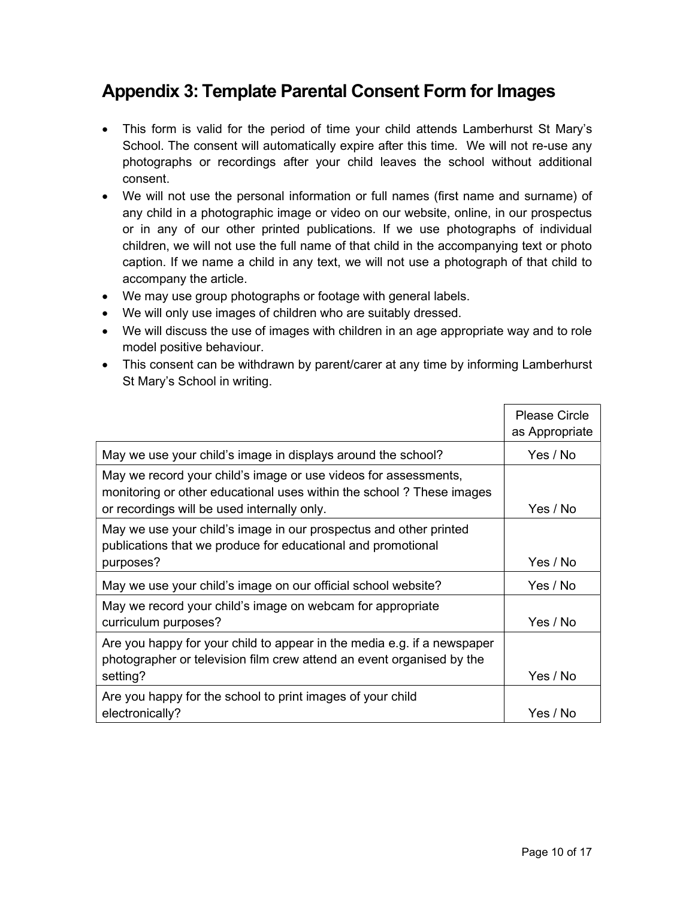## Appendix 3: Template Parental Consent Form for Images

- This form is valid for the period of time your child attends Lamberhurst St Mary's School. The consent will automatically expire after this time. We will not re-use any photographs or recordings after your child leaves the school without additional consent.
- We will not use the personal information or full names (first name and surname) of any child in a photographic image or video on our website, online, in our prospectus or in any of our other printed publications. If we use photographs of individual children, we will not use the full name of that child in the accompanying text or photo caption. If we name a child in any text, we will not use a photograph of that child to accompany the article.
- We may use group photographs or footage with general labels.
- We will only use images of children who are suitably dressed.
- We will discuss the use of images with children in an age appropriate way and to role model positive behaviour.
- This consent can be withdrawn by parent/carer at any time by informing Lamberhurst St Mary's School in writing.

|                                                                                                                                                                                        | <b>Please Circle</b><br>as Appropriate |
|----------------------------------------------------------------------------------------------------------------------------------------------------------------------------------------|----------------------------------------|
| May we use your child's image in displays around the school?                                                                                                                           | Yes / No                               |
| May we record your child's image or use videos for assessments,<br>monitoring or other educational uses within the school? These images<br>or recordings will be used internally only. | Yes / No                               |
| May we use your child's image in our prospectus and other printed<br>publications that we produce for educational and promotional<br>purposes?                                         | Yes / No                               |
| May we use your child's image on our official school website?                                                                                                                          | Yes / No                               |
| May we record your child's image on webcam for appropriate<br>curriculum purposes?                                                                                                     | Yes / No                               |
| Are you happy for your child to appear in the media e.g. if a newspaper<br>photographer or television film crew attend an event organised by the<br>setting?                           | Yes / No                               |
| Are you happy for the school to print images of your child<br>electronically?                                                                                                          | Yes / No                               |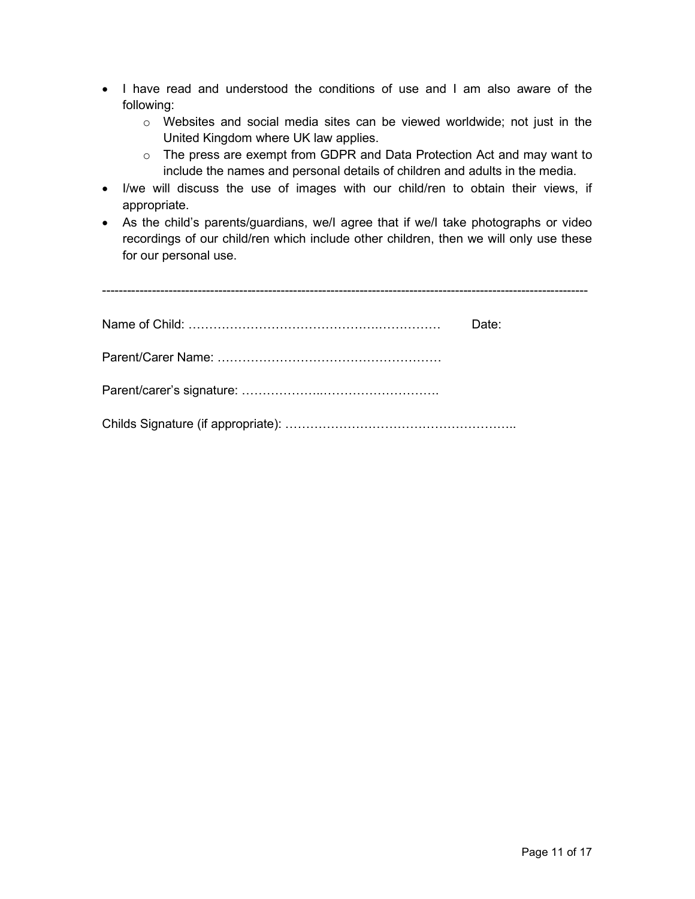- I have read and understood the conditions of use and I am also aware of the following:
	- o Websites and social media sites can be viewed worldwide; not just in the United Kingdom where UK law applies.
	- o The press are exempt from GDPR and Data Protection Act and may want to include the names and personal details of children and adults in the media.
- I/we will discuss the use of images with our child/ren to obtain their views, if appropriate.
- As the child's parents/guardians, we/I agree that if we/I take photographs or video recordings of our child/ren which include other children, then we will only use these for our personal use.

| Date: |
|-------|
|       |
|       |
|       |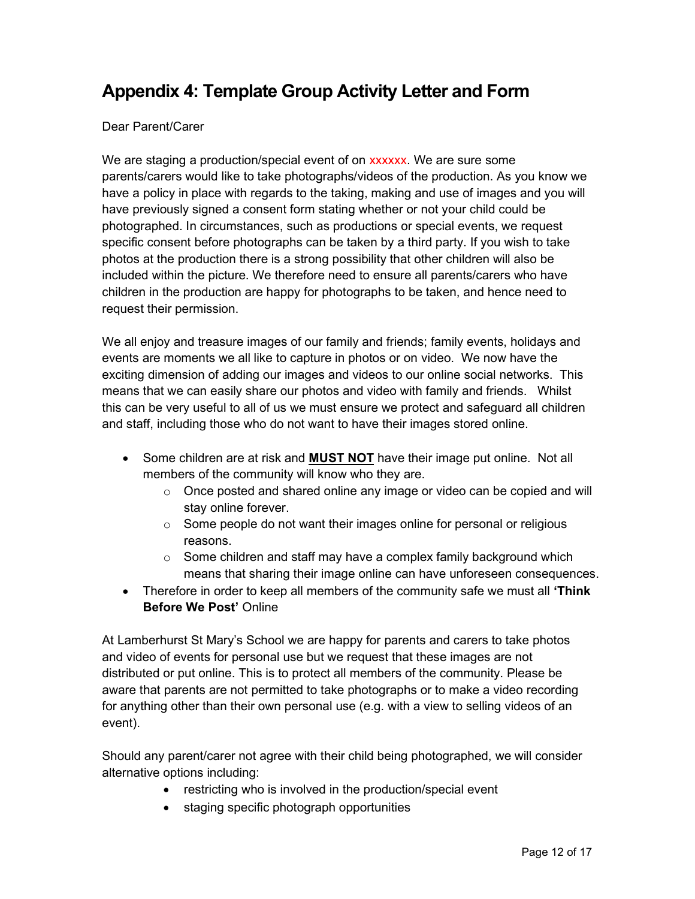## Appendix 4: Template Group Activity Letter and Form

#### Dear Parent/Carer

We are staging a production/special event of on **XXXXXX**. We are sure some parents/carers would like to take photographs/videos of the production. As you know we have a policy in place with regards to the taking, making and use of images and you will have previously signed a consent form stating whether or not your child could be photographed. In circumstances, such as productions or special events, we request specific consent before photographs can be taken by a third party. If you wish to take photos at the production there is a strong possibility that other children will also be included within the picture. We therefore need to ensure all parents/carers who have children in the production are happy for photographs to be taken, and hence need to request their permission.

We all enjoy and treasure images of our family and friends; family events, holidays and events are moments we all like to capture in photos or on video. We now have the exciting dimension of adding our images and videos to our online social networks. This means that we can easily share our photos and video with family and friends. Whilst this can be very useful to all of us we must ensure we protect and safeguard all children and staff, including those who do not want to have their images stored online.

- Some children are at risk and **MUST NOT** have their image put online. Not all members of the community will know who they are.
	- $\circ$  Once posted and shared online any image or video can be copied and will stay online forever.
	- $\circ$  Some people do not want their images online for personal or religious reasons.
	- $\circ$  Some children and staff may have a complex family background which means that sharing their image online can have unforeseen consequences.
- Therefore in order to keep all members of the community safe we must all 'Think Before We Post' Online

At Lamberhurst St Mary's School we are happy for parents and carers to take photos and video of events for personal use but we request that these images are not distributed or put online. This is to protect all members of the community. Please be aware that parents are not permitted to take photographs or to make a video recording for anything other than their own personal use (e.g. with a view to selling videos of an event).

Should any parent/carer not agree with their child being photographed, we will consider alternative options including:

- restricting who is involved in the production/special event
- staging specific photograph opportunities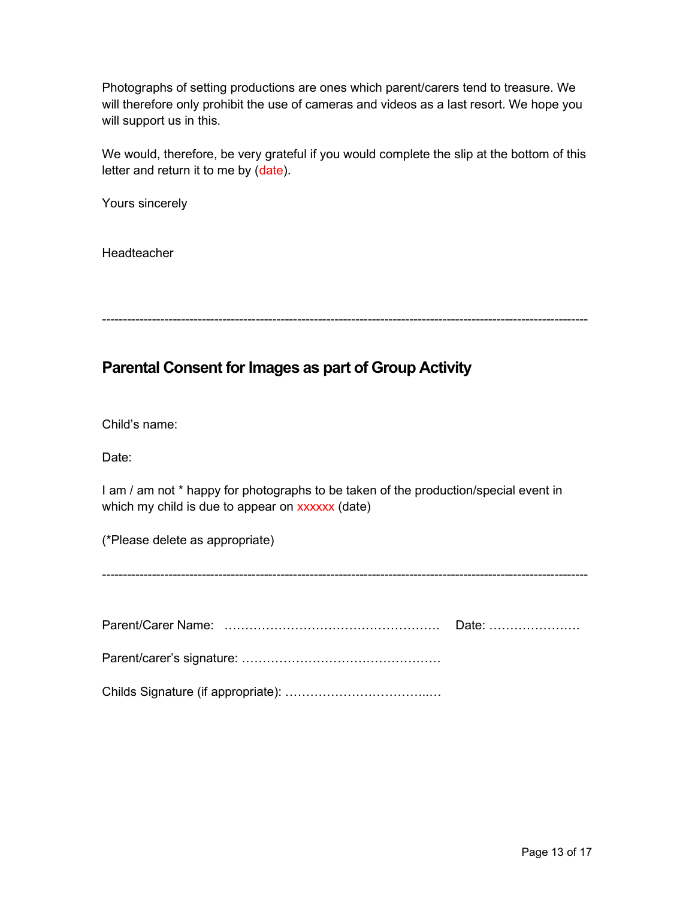Photographs of setting productions are ones which parent/carers tend to treasure. We will therefore only prohibit the use of cameras and videos as a last resort. We hope you will support us in this.

We would, therefore, be very grateful if you would complete the slip at the bottom of this letter and return it to me by (date).

Yours sincerely

**Headteacher** 

---------------------------------------------------------------------------------------------------------------------

## Parental Consent for Images as part of Group Activity

Child's name:

Date:

I am / am not \* happy for photographs to be taken of the production/special event in which my child is due to appear on xxxxxx (date)

(\*Please delete as appropriate)

---------------------------------------------------------------------------------------------------------------------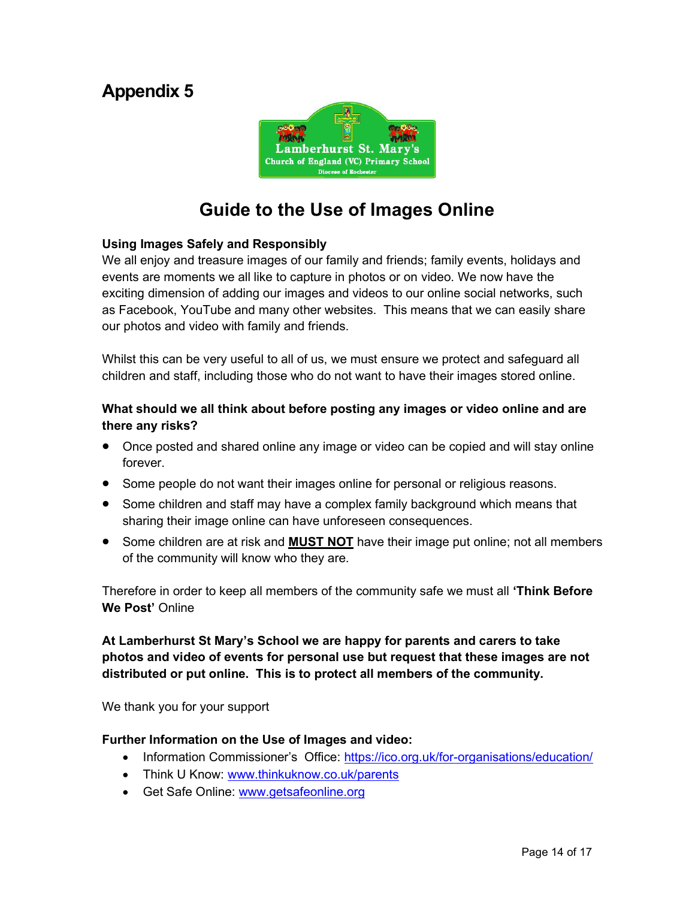## Appendix 5



## Guide to the Use of Images Online

#### Using Images Safely and Responsibly

We all enjoy and treasure images of our family and friends; family events, holidays and events are moments we all like to capture in photos or on video. We now have the exciting dimension of adding our images and videos to our online social networks, such as Facebook, YouTube and many other websites. This means that we can easily share our photos and video with family and friends.

Whilst this can be very useful to all of us, we must ensure we protect and safeguard all children and staff, including those who do not want to have their images stored online.

#### What should we all think about before posting any images or video online and are there any risks?

- Once posted and shared online any image or video can be copied and will stay online forever.
- Some people do not want their images online for personal or religious reasons.
- Some children and staff may have a complex family background which means that sharing their image online can have unforeseen consequences.
- Some children are at risk and **MUST NOT** have their image put online; not all members of the community will know who they are.

Therefore in order to keep all members of the community safe we must all 'Think Before We Post' Online

#### At Lamberhurst St Mary's School we are happy for parents and carers to take photos and video of events for personal use but request that these images are not distributed or put online. This is to protect all members of the community.

We thank you for your support

#### Further Information on the Use of Images and video:

- Information Commissioner's Office: https://ico.org.uk/for-organisations/education/
- Think U Know: www.thinkuknow.co.uk/parents
- Get Safe Online: www.getsafeonline.org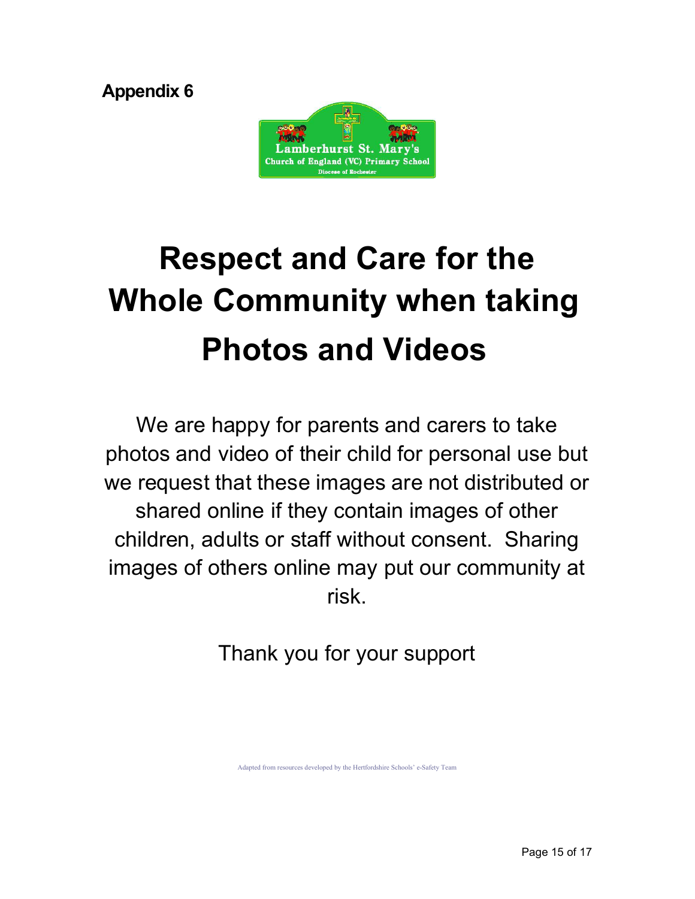Appendix 6



# Respect and Care for the Whole Community when taking Photos and Videos

We are happy for parents and carers to take photos and video of their child for personal use but we request that these images are not distributed or shared online if they contain images of other children, adults or staff without consent. Sharing images of others online may put our community at risk.

Thank you for your support

Adapted from resources developed by the Hertfordshire Schools' e-Safety Team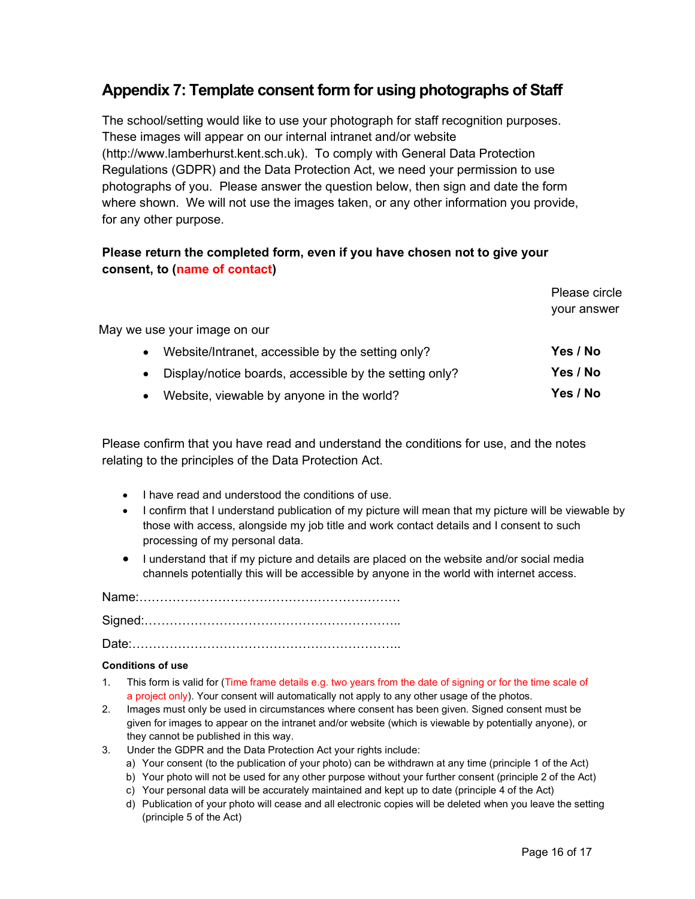### Appendix 7: Template consent form for using photographs of Staff

The school/setting would like to use your photograph for staff recognition purposes. These images will appear on our internal intranet and/or website (http://www.lamberhurst.kent.sch.uk). To comply with General Data Protection Regulations (GDPR) and the Data Protection Act, we need your permission to use photographs of you. Please answer the question below, then sign and date the form where shown. We will not use the images taken, or any other information you provide, for any other purpose.

#### Please return the completed form, even if you have chosen not to give your consent, to (name of contact)

|                                                                     | Please circle<br>your answer |
|---------------------------------------------------------------------|------------------------------|
| May we use your image on our                                        |                              |
| Website/Intranet, accessible by the setting only?<br>$\bullet$      | Yes / No                     |
| Display/notice boards, accessible by the setting only?<br>$\bullet$ | Yes / No                     |
| Website, viewable by anyone in the world?<br>$\bullet$              | Yes / No                     |

Please confirm that you have read and understand the conditions for use, and the notes relating to the principles of the Data Protection Act.

- I have read and understood the conditions of use.
- I confirm that I understand publication of my picture will mean that my picture will be viewable by those with access, alongside my job title and work contact details and I consent to such processing of my personal data.
- I understand that if my picture and details are placed on the website and/or social media channels potentially this will be accessible by anyone in the world with internet access.

Name:………………………………………………………

Signed:……………………………………………………..

Date:………………………………………………………..

#### Conditions of use

- 1. This form is valid for (Time frame details e.g. two years from the date of signing or for the time scale of a project only). Your consent will automatically not apply to any other usage of the photos.
- 2. Images must only be used in circumstances where consent has been given. Signed consent must be given for images to appear on the intranet and/or website (which is viewable by potentially anyone), or they cannot be published in this way.
- 3. Under the GDPR and the Data Protection Act your rights include:
	- a) Your consent (to the publication of your photo) can be withdrawn at any time (principle 1 of the Act)
	- b) Your photo will not be used for any other purpose without your further consent (principle 2 of the Act)
	- c) Your personal data will be accurately maintained and kept up to date (principle 4 of the Act)
	- d) Publication of your photo will cease and all electronic copies will be deleted when you leave the setting (principle 5 of the Act)